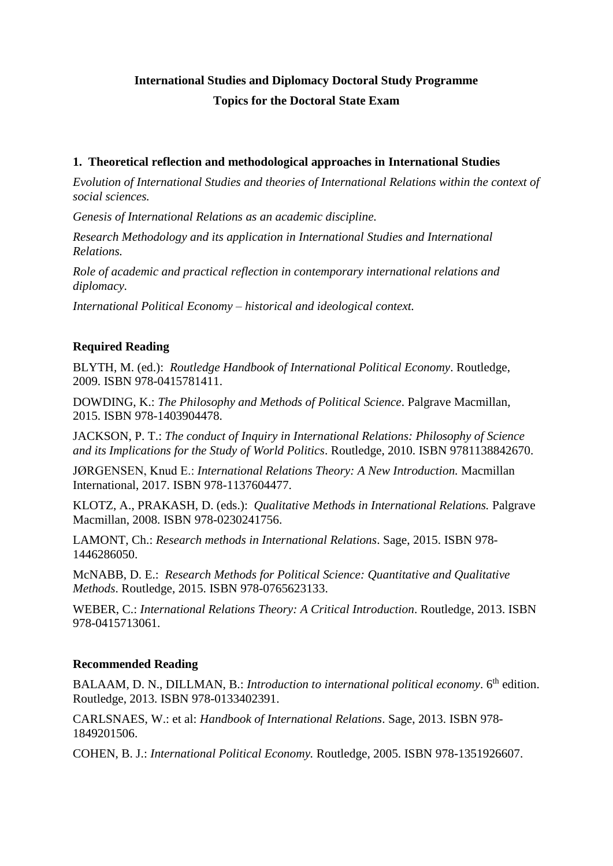# **International Studies and Diplomacy Doctoral Study Programme Topics for the Doctoral State Exam**

## **1. Theoretical reflection and methodological approaches in International Studies**

*Evolution of International Studies and theories of International Relations within the context of social sciences.*

*Genesis of International Relations as an academic discipline.*

*Research Methodology and its application in International Studies and International Relations.*

*Role of academic and practical reflection in contemporary international relations and diplomacy.*

*International Political Economy – historical and ideological context.*

# **Required Reading**

BLYTH, M. (ed.): *Routledge Handbook of International Political Economy*. Routledge, 2009. ISBN 978-0415781411.

DOWDING, K.: *The Philosophy and Methods of Political Science*. Palgrave Macmillan, 2015. ISBN 978-1403904478.

JACKSON, P. T.: *The conduct of Inquiry in International Relations: Philosophy of Science and its Implications for the Study of World Politics*. Routledge, 2010. ISBN 9781138842670.

JØRGENSEN, Knud E.: *International Relations Theory: A New Introduction.* Macmillan International, 2017. ISBN 978-1137604477.

KLOTZ, A., PRAKASH, D. (eds.): *Qualitative Methods in International Relations.* Palgrave Macmillan, 2008. ISBN 978-0230241756.

LAMONT, Ch.: *Research methods in International Relations*. Sage, 2015. ISBN 978- 1446286050.

McNABB, D. E.: *Research Methods for Political Science: Quantitative and Qualitative Methods*. Routledge, 2015. ISBN 978-0765623133.

WEBER, C.: *International Relations Theory: A Critical Introduction*. Routledge, 2013. ISBN 978-0415713061.

## **Recommended Reading**

BALAAM, D. N., DILLMAN, B.: *Introduction to international political economy*. 6<sup>th</sup> edition. Routledge, 2013. ISBN 978-0133402391.

CARLSNAES, W.: et al: *Handbook of International Relations*. Sage, 2013. ISBN 978- 1849201506.

COHEN, B. J.: *International Political Economy.* Routledge, 2005. ISBN 978-1351926607.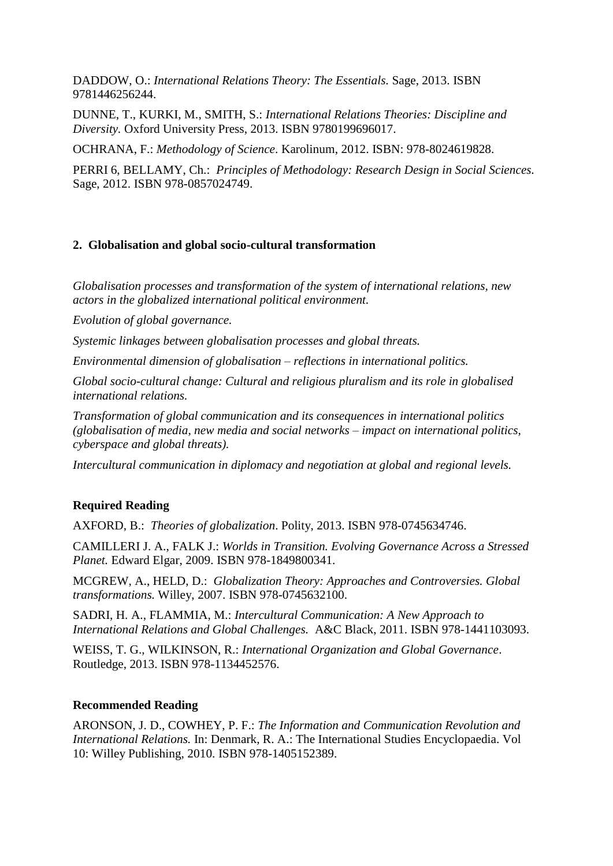DADDOW, O.: *International Relations Theory: The Essentials.* Sage, 2013. ISBN 9781446256244.

DUNNE, T., KURKI, M., SMITH, S.: *International Relations Theories: Discipline and Diversity.* Oxford University Press, 2013. ISBN 9780199696017.

OCHRANA, F.: *Methodology of Science*. Karolinum, 2012. ISBN: 978-8024619828.

PERRI 6, BELLAMY, Ch.: *Principles of Methodology: Research Design in Social Sciences.*  Sage, 2012. ISBN 978-0857024749.

## **2. Globalisation and global socio-cultural transformation**

*Globalisation processes and transformation of the system of international relations, new actors in the globalized international political environment.*

*Evolution of global governance.* 

*Systemic linkages between globalisation processes and global threats.* 

*Environmental dimension of globalisation – reflections in international politics.*

*Global socio-cultural change: Cultural and religious pluralism and its role in globalised international relations.* 

*Transformation of global communication and its consequences in international politics (globalisation of media, new media and social networks – impact on international politics, cyberspace and global threats).*

*Intercultural communication in diplomacy and negotiation at global and regional levels.*

## **Required Reading**

AXFORD, B.: *Theories of globalization*. Polity, 2013. ISBN 978-0745634746.

CAMILLERI J. A., FALK J.: *Worlds in Transition. Evolving Governance Across a Stressed Planet.* Edward Elgar, 2009. ISBN 978-1849800341.

MCGREW, A., HELD, D.: *Globalization Theory: Approaches and Controversies. Global transformations.* Willey, 2007. ISBN 978-0745632100.

SADRI, H. A., FLAMMIA, M.: *Intercultural Communication: A New Approach to International Relations and Global Challenges.* A&C Black, 2011. ISBN 978-1441103093.

WEISS, T. G., WILKINSON, R.: *International Organization and Global Governance*. Routledge, 2013. ISBN 978-1134452576.

### **Recommended Reading**

ARONSON, J. D., COWHEY, P. F.: *The Information and Communication Revolution and International Relations.* In: Denmark, R. A.: The International Studies Encyclopaedia. Vol 10: Willey Publishing, 2010. ISBN 978-1405152389.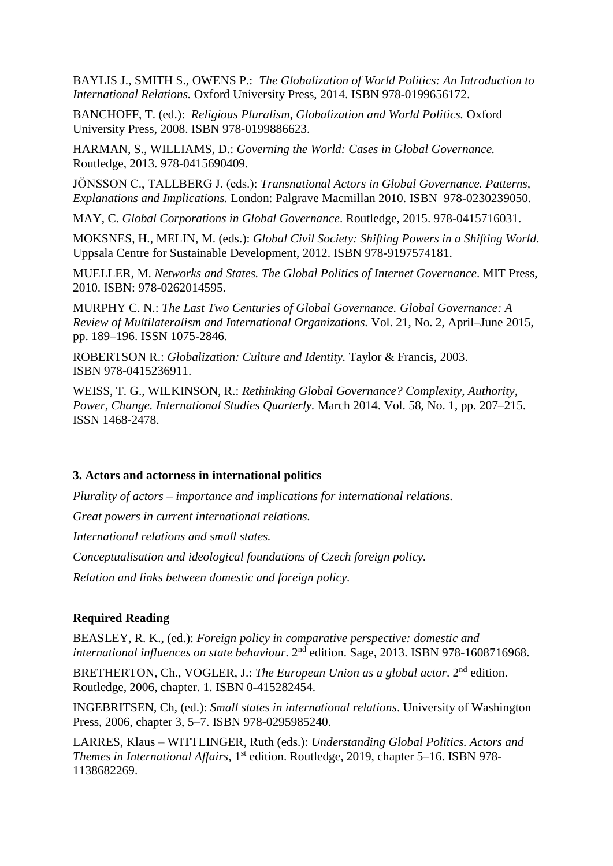BAYLIS J., SMITH S., OWENS P.: *The Globalization of World Politics: An Introduction to International Relations.* Oxford University Press, 2014. ISBN 978-0199656172.

BANCHOFF, T. (ed.): *Religious Pluralism, Globalization and World Politics.* Oxford University Press, 2008. ISBN 978-0199886623.

HARMAN, S., WILLIAMS, D.: *Governing the World: Cases in Global Governance.*  Routledge, 2013. 978-0415690409.

JÖNSSON C., TALLBERG J. (eds.): *Transnational Actors in Global Governance. Patterns, Explanations and Implications.* London: Palgrave Macmillan 2010. ISBN 978-0230239050.

MAY, C. *Global Corporations in Global Governance*. Routledge, 2015. 978-0415716031.

MOKSNES, H., MELIN, M. (eds.): *Global Civil Society: Shifting Powers in a Shifting World*. Uppsala Centre for Sustainable Development, 2012. ISBN 978-9197574181.

MUELLER, M. *Networks and States. The Global Politics of Internet Governance*. MIT Press, 2010. ISBN: 978-0262014595.

MURPHY C. N.: *The Last Two Centuries of Global Governance. Global Governance: A Review of Multilateralism and International Organizations.* Vol. 21, No. 2, April–June 2015, pp. 189–196. ISSN 1075-2846.

ROBERTSON R.: *Globalization: Culture and Identity.* Taylor & Francis, 2003. ISBN 978-0415236911.

WEISS, T. G., WILKINSON, R.: *Rethinking Global Governance? Complexity, Authority, Power, Change. International Studies Quarterly.* March 2014. Vol. 58, No. 1, pp. 207–215. ISSN 1468-2478.

#### **3. Actors and actorness in international politics**

*Plurality of actors – importance and implications for international relations.*

*Great powers in current international relations.*

*International relations and small states.*

*Conceptualisation and ideological foundations of Czech foreign policy.*

*Relation and links between domestic and foreign policy.*

#### **Required Reading**

BEASLEY, R. K., (ed.): *Foreign policy in comparative perspective: domestic and*  international influences on state behaviour. 2<sup>nd</sup> edition. Sage, 2013. ISBN 978-1608716968.

BRETHERTON, Ch., VOGLER, J.: *The European Union as a global actor*. 2nd edition. Routledge, 2006, chapter. 1. ISBN 0-415282454.

INGEBRITSEN, Ch, (ed.): *Small states in international relations*. University of Washington Press, 2006, chapter 3, 5–7. ISBN 978-0295985240.

LARRES, [Klaus –](https://www.routledge.com/products/search?author=Klaus%20Larres) WITTLINGER, Ruth (eds.): *Understanding Global Politics. Actors and Themes in International Affairs*, 1<sup>st</sup> edition. Routledge, 2019, chapter 5-16. ISBN 978-1138682269.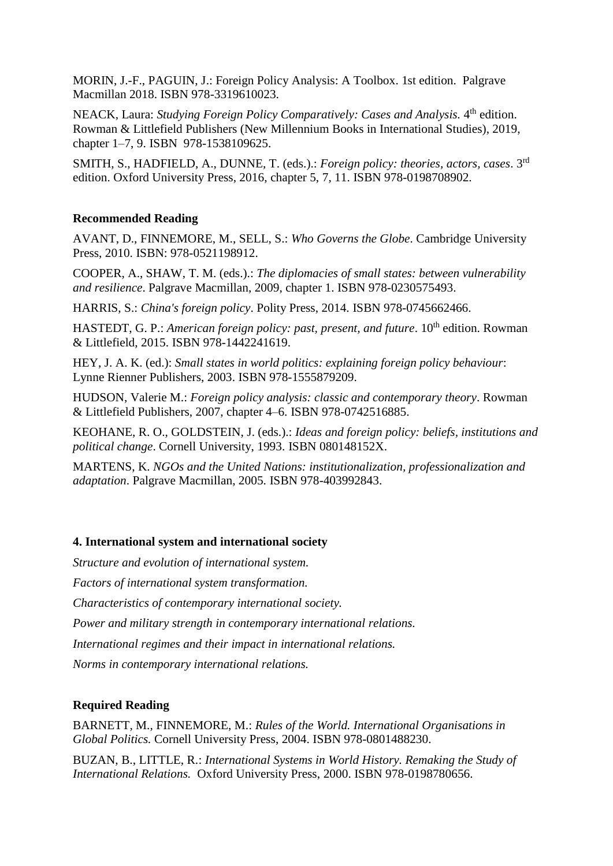MORIN, J.-F., PAGUIN, J.: Foreign Policy Analysis: A Toolbox. 1st edition. Palgrave Macmillan 2018. ISBN 978-3319610023.

NEACK, Laura: Studying Foreign Policy Comparatively: Cases and Analysis. 4<sup>th</sup> edition. Rowman & Littlefield Publishers (New Millennium Books in International Studies), 2019, chapter 1-7, 9. ISBN 978-1538109625.

SMITH, S., HADFIELD, A., DUNNE, T. (eds.).: *Foreign policy: theories, actors, cases.* 3<sup>rd</sup> edition. Oxford University Press, 2016, chapter 5, 7, 11. ISBN 978-0198708902.

## **Recommended Reading**

AVANT, D., FINNEMORE, M., SELL, S.: *Who Governs the Globe*. Cambridge University Press, 2010. ISBN: 978-0521198912.

COOPER, A., SHAW, T. M. (eds.).: *The diplomacies of small states: between vulnerability and resilience*. Palgrave Macmillan, 2009, chapter 1. ISBN 978-0230575493.

HARRIS, S.: *China's foreign policy*. Polity Press, 2014. ISBN 978-0745662466.

HASTEDT, G. P.: American foreign policy: past, present, and future. 10<sup>th</sup> edition. Rowman & Littlefield, 2015. ISBN 978-1442241619.

HEY, J. A. K. (ed.): *Small states in world politics: explaining foreign policy behaviour*: Lynne Rienner Publishers, 2003. ISBN 978-1555879209.

HUDSON, Valerie M.: *Foreign policy analysis: classic and contemporary theory*. Rowman & Littlefield Publishers, 2007, chapter 4–6. ISBN 978-0742516885.

KEOHANE, R. O., GOLDSTEIN, J. (eds.).: *Ideas and foreign policy: beliefs, institutions and political change*. Cornell University, 1993. ISBN 080148152X.

MARTENS, K. *NGOs and the United Nations: institutionalization, professionalization and adaptation*. Palgrave Macmillan, 2005. ISBN 978-403992843.

### **4. International system and international society**

*Structure and evolution of international system. Factors of international system transformation. Characteristics of contemporary international society. Power and military strength in contemporary international relations. International regimes and their impact in international relations. Norms in contemporary international relations.*

## **Required Reading**

BARNETT, M., FINNEMORE, M.: *Rules of the World. International Organisations in Global Politics.* Cornell University Press, 2004. ISBN 978-0801488230.

BUZAN, B., LITTLE, R.: *International Systems in World History. Remaking the Study of International Relations.* Oxford University Press, 2000. ISBN 978-0198780656.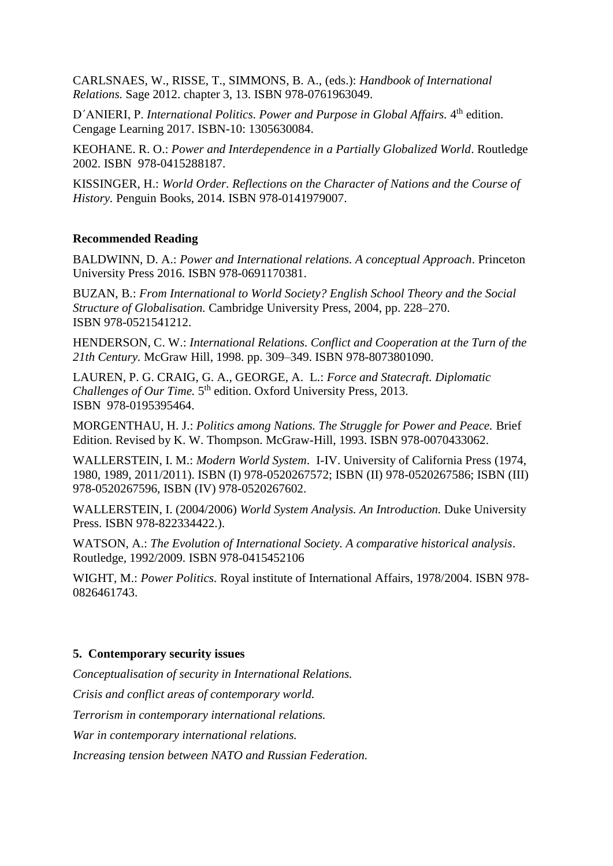CARLSNAES, W., RISSE, T., SIMMONS, B. A., (eds.): *Handbook of International Relations.* Sage 2012. chapter 3, 13. ISBN 978-0761963049.

D'ANIERI, P. *International Politics. Power and Purpose in Global Affairs*. 4<sup>th</sup> edition. Cengage Learning 2017. ISBN-10: 1305630084.

KEOHANE. R. O.: *Power and Interdependence in a Partially Globalized World*. Routledge 2002. ISBN 978-0415288187.

KISSINGER, H.: *World Order. Reflections on the Character of Nations and the Course of History.* Penguin Books, 2014. ISBN 978-0141979007.

### **Recommended Reading**

BALDWINN, D. A.: *Power and International relations. A conceptual Approach*. Princeton University Press 2016. ISBN 978-0691170381.

BUZAN, B.: *From International to World Society? English School Theory and the Social Structure of Globalisation.* Cambridge University Press, 2004, pp. 228–270. ISBN 978-0521541212.

HENDERSON, C. W.: *International Relations. Conflict and Cooperation at the Turn of the 21th Century.* McGraw Hill, 1998. pp. 309–349. ISBN 978-8073801090.

LAUREN, P. G. CRAIG, G. A., GEORGE, A. L.: *Force and Statecraft. Diplomatic*  Challenges of Our Time. 5<sup>th</sup> edition. Oxford University Press, 2013. ISBN 978-0195395464.

MORGENTHAU, H. J.: *Politics among Nations. The Struggle for Power and Peace.* Brief Edition. Revised by K. W. Thompson. McGraw-Hill, 1993. ISBN 978-0070433062.

WALLERSTEIN, I. M.: *Modern World System*. I-IV. University of California Press (1974, 1980, 1989, 2011/2011). ISBN (I) 978-0520267572; ISBN (II) 978-0520267586; ISBN (III) 978-0520267596, ISBN (IV) 978-0520267602.

WALLERSTEIN, I. (2004/2006) *World System Analysis. An Introduction.* Duke University Press. ISBN 978-822334422.).

WATSON, A.: *The Evolution of International Society. A comparative historical analysis*. Routledge, 1992/2009. ISBN 978-0415452106

WIGHT, M.: *Power Politics.* Royal institute of International Affairs, 1978/2004. ISBN 978- 0826461743.

### **5. Contemporary security issues**

*Conceptualisation of security in International Relations.*

*Crisis and conflict areas of contemporary world.*

*Terrorism in contemporary international relations.*

*War in contemporary international relations.*

*Increasing tension between NATO and Russian Federation.*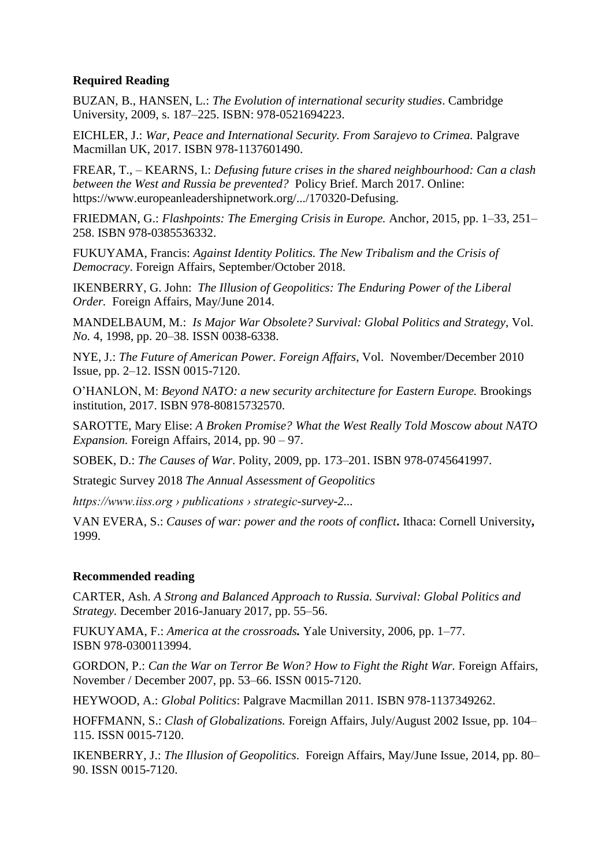## **Required Reading**

BUZAN, B., HANSEN, L.: *The Evolution of international security studies*. Cambridge University, 2009, s. 187–225. ISBN: 978-0521694223.

EICHLER, J.: *War, Peace and International Security. From Sarajevo to Crimea.* Palgrave Macmillan UK, 2017. ISBN 978-1137601490.

FREAR, T., – KEARNS, I.: *Defusing future crises in the shared neighbourhood: Can a clash between the West and Russia be prevented?* Policy Brief. March 2017. Online: https://www.europeanleadershipnetwork.org/.../170320-Defusing.

FRIEDMAN, G.: *Flashpoints: The Emerging Crisis in Europe.* Anchor, 2015, pp. 1–33, 251– 258. ISBN 978-0385536332.

FUKUYAMA, Francis: *Against Identity Politics. The New Tribalism and the Crisis of Democracy*. Foreign Affairs, [September/October 2018.](https://www.foreignaffairs.com/issues/2018/97/5)

IKENBERRY, G. John: *The Illusion of Geopolitics: The Enduring Power of the Liberal Order.* Foreign Affairs, May/June 2014.

MANDELBAUM, M.: *Is Major War Obsolete? Survival: Global Politics and Strategy*, Vol. *No.* 4, 1998, pp. 20–38. ISSN 0038-6338.

NYE, J.: *The Future of American Power. Foreign Affairs*, Vol. [November/December 2010](https://www.foreignaffairs.com/issues/2010/89/6)  [Issue,](https://www.foreignaffairs.com/issues/2010/89/6) pp. 2–12. ISSN 0015-7120.

O'HANLON, M: *Beyond NATO: a new security architecture for Eastern Europe.* Brookings institution, 2017. ISBN 978-80815732570.

SAROTTE, Mary Elise: *[A Broken Promise? What the West Really Told Moscow about NATO](http://scholar.google.com/scholar?oi=bibs&cluster=8626044309985790346&btnI=1&nossl=1&hl=en)  [Expansion.](http://scholar.google.com/scholar?oi=bibs&cluster=8626044309985790346&btnI=1&nossl=1&hl=en)* Foreign Affairs, 2014, pp. 90 – 97.

SOBEK, D.: *The Causes of War*. Polity, 2009, pp. 173–201. ISBN 978-0745641997.

Strategic Survey 2018 *[The Annual Assessment of Geopolitics](file:///C:/Users/stepankazemanova/Library/Containers/com.apple.mail/Data/Library/Mail%20Downloads/93E88F60-49EB-4F58-9FF9-6BBDF4BB28A2/%0dStrategic%20Survey%202018%20The%20Annual%20Assessment%20of%20Geopolitics%0dhttps:/www.iiss.org%20›%20publications%20›%20strategic-survey-2...%0d)*

*[https://www.iiss.org › publications › strategic-survey-2...](file:///C:/Users/stepankazemanova/Library/Containers/com.apple.mail/Data/Library/Mail%20Downloads/93E88F60-49EB-4F58-9FF9-6BBDF4BB28A2/%0dStrategic%20Survey%202018%20The%20Annual%20Assessment%20of%20Geopolitics%0dhttps:/www.iiss.org%20›%20publications%20›%20strategic-survey-2...%0d)*

VAN EVERA, S.: *[Causes of war: power and the roots of conflict](http://katalog.iir.cz:8080/Carmen/cs/detail/21733?st=SMART&d=236&q=van+evera&w=ALL&p=1&t=GOOGLE&s=relevance)***.** Ithaca: Cornell University**,** 1999.

### **Recommended reading**

CARTER, Ash. *A Strong and Balanced Approach to Russia. Survival: Global Politics and Strategy.* December 2016-January 2017, pp. 55–56.

FUKUYAMA, F.: *[America at the crossroads](http://katalog.iir.cz:8080/Carmen/cs/detail/38633?st=SMART&d=91&q=fukuyama&w=ALL&p=1&t=GOOGLE&s=relevance).* [Yale University,](http://katalog.iir.cz:8080/Carmen/cs/search-by-field?st=BY_FIELD&d=91&field=M_260b&value=Yale+University) 2006, pp. 1–77. ISBN 978-0300113994.

GORDON, P.: *Can the War on Terror Be Won? How to Fight the Right War*. Foreign Affairs, November / December 2007, pp. 53–66. ISSN 0015-7120.

HEYWOOD, A.: *Global Politics*: Palgrave Macmillan 2011. ISBN 978-1137349262.

[HOFFMANN](https://www.foreignaffairs.com/authors/stanley-hoffmann)*,* S.: *Clash of Globalizations.* Foreign Affairs*,* [July/August 2002 Issue,](https://www.foreignaffairs.com/issues/2002/81/4) pp. 104– 115. ISSN 0015-7120.

IKENBERRY, J.: *The Illusion of Geopolitics*. Foreign Affairs, May/June Issue, 2014, pp. 80– 90. ISSN 0015-7120.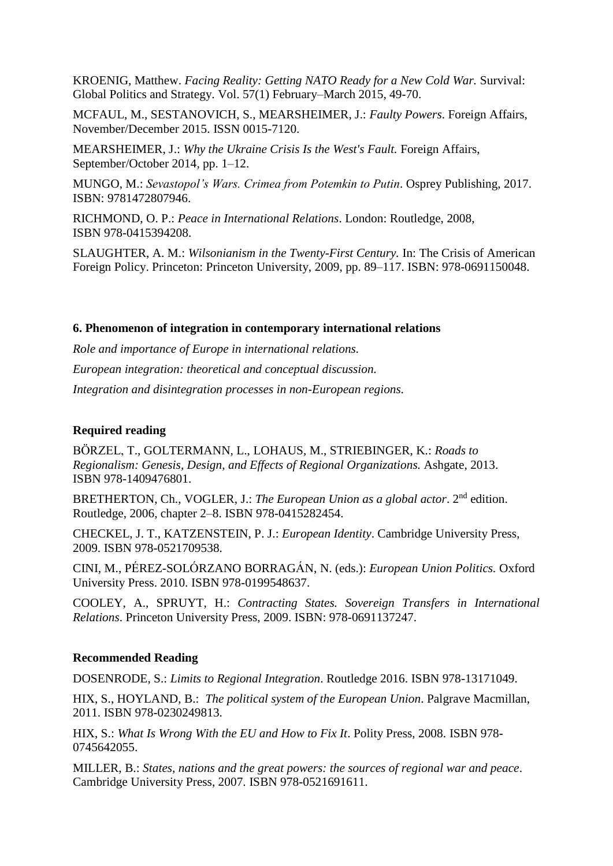KROENIG, Matthew. *Facing Reality: Getting NATO Ready for a New Cold War.* [Survival:](http://www.iiss.org/en/publications/survival/sections/2015-1e95/survival--global-politics-and-strategy-february-march-2015-4c22)  [Global Politics and Strategy. Vol. 57\(1\) February–March 2015, 49-70.](http://www.iiss.org/en/publications/survival/sections/2015-1e95/survival--global-politics-and-strategy-february-march-2015-4c22) 

MCFAUL, M., SESTANOVICH, S., MEARSHEIMER, J.: *Faulty Powers*. Foreign Affairs, November/December 2015. ISSN 0015-7120.

MEARSHEIMER, J.: *Why the Ukraine Crisis Is the West's Fault.* Foreign Affairs, September/October 2014, pp. 1–12.

MUNGO, M.: *Sevastopol's Wars. Crimea from Potemkin to Putin*. Osprey Publishing, 2017. ISBN: 9781472807946.

RICHMOND, O. P.: *Peace in International Relations*. London: Routledge, 2008, ISBN 978-0415394208.

SLAUGHTER, A. M.: *Wilsonianism in the Twenty-First Century.* In: The Crisis of American Foreign Policy. Princeton: Princeton University, 2009, pp. 89–117. ISBN: 978-0691150048.

### **6. Phenomenon of integration in contemporary international relations**

*Role and importance of Europe in international relations. European integration: theoretical and conceptual discussion. Integration and disintegration processes in non-European regions.*

### **Required reading**

BÖRZEL, T., GOLTERMANN, L., LOHAUS, M., STRIEBINGER, K.: *Roads to Regionalism: Genesis, Design, and Effects of Regional Organizations.* Ashgate, 2013. ISBN 978-1409476801.

BRETHERTON, Ch., VOGLER, J.: *The European Union as a global actor*. 2nd edition. Routledge, 2006, chapter 2–8. ISBN 978-0415282454.

CHECKEL, J. T., KATZENSTEIN, P. J.: *European Identity*. Cambridge University Press, 2009. ISBN 978-0521709538.

CINI, M., PÉREZ-SOLÓRZANO BORRAGÁN, N. (eds.): *European Union Politics.* Oxford University Press. 2010. ISBN 978-0199548637.

COOLEY, A., SPRUYT, H.: *Contracting States. Sovereign Transfers in International Relations*. Princeton University Press, 2009. ISBN: 978-0691137247.

### **Recommended Reading**

DOSENRODE, S.: *Limits to Regional Integration*. Routledge 2016. ISBN 978-13171049.

HIX, S., HOYLAND, B.: *The political system of the European Union*. Palgrave Macmillan, 2011. ISBN 978-0230249813.

HIX, S.: *What Is Wrong With the EU and How to Fix It*. Polity Press, 2008. ISBN 978- 0745642055.

MILLER, B.: *States, nations and the great powers: the sources of regional war and peace*. Cambridge University Press, 2007. ISBN 978-0521691611.